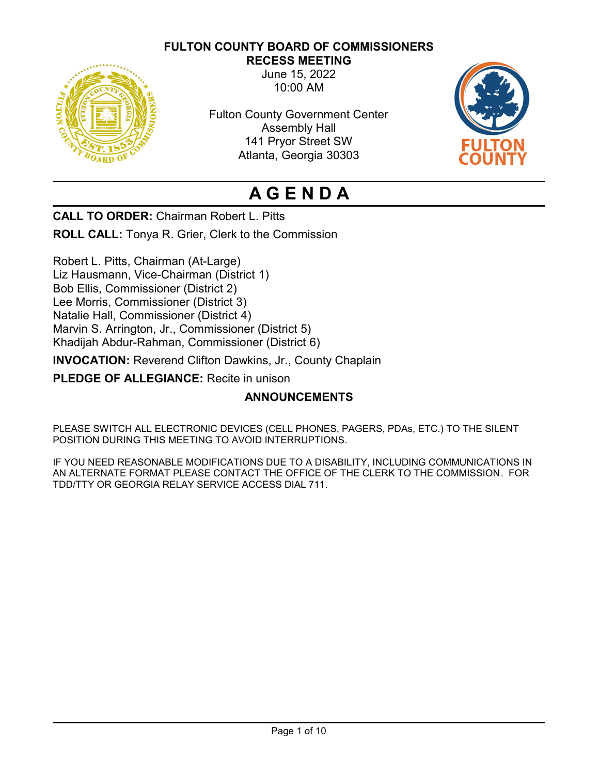# **FULTON COUNTY BOARD OF COMMISSIONERS**



**RECESS MEETING** June 15, 2022 10:00 AM

Fulton County Government Center Assembly Hall 141 Pryor Street SW Atlanta, Georgia 30303



# **A G E N D A**

**CALL TO ORDER:** Chairman Robert L. Pitts

**ROLL CALL:** Tonya R. Grier, Clerk to the Commission

Robert L. Pitts, Chairman (At-Large) Liz Hausmann, Vice-Chairman (District 1) Bob Ellis, Commissioner (District 2) Lee Morris, Commissioner (District 3) Natalie Hall, Commissioner (District 4) Marvin S. Arrington, Jr., Commissioner (District 5) Khadijah Abdur-Rahman, Commissioner (District 6)

**INVOCATION:** Reverend Clifton Dawkins, Jr., County Chaplain

**PLEDGE OF ALLEGIANCE:** Recite in unison

# **ANNOUNCEMENTS**

PLEASE SWITCH ALL ELECTRONIC DEVICES (CELL PHONES, PAGERS, PDAs, ETC.) TO THE SILENT POSITION DURING THIS MEETING TO AVOID INTERRUPTIONS.

IF YOU NEED REASONABLE MODIFICATIONS DUE TO A DISABILITY, INCLUDING COMMUNICATIONS IN AN ALTERNATE FORMAT PLEASE CONTACT THE OFFICE OF THE CLERK TO THE COMMISSION. FOR TDD/TTY OR GEORGIA RELAY SERVICE ACCESS DIAL 711.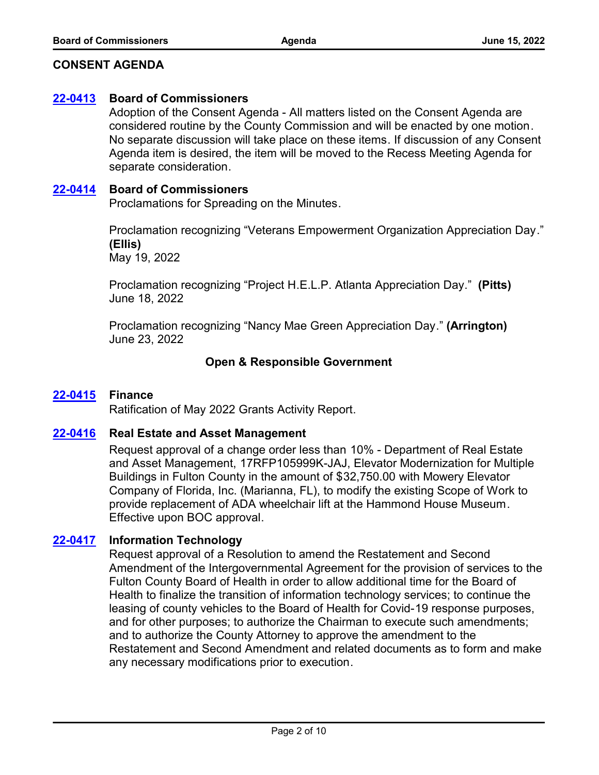### **CONSENT AGENDA**

#### **[22-0413](http://fulton.legistar.com/gateway.aspx?m=l&id=/matter.aspx?key=10918) Board of Commissioners**

Adoption of the Consent Agenda - All matters listed on the Consent Agenda are considered routine by the County Commission and will be enacted by one motion. No separate discussion will take place on these items. If discussion of any Consent Agenda item is desired, the item will be moved to the Recess Meeting Agenda for separate consideration.

#### **[22-0414](http://fulton.legistar.com/gateway.aspx?m=l&id=/matter.aspx?key=10919) Board of Commissioners**

Proclamations for Spreading on the Minutes.

Proclamation recognizing "Veterans Empowerment Organization Appreciation Day." **(Ellis)** May 19, 2022

Proclamation recognizing "Project H.E.L.P. Atlanta Appreciation Day." **(Pitts)** June 18, 2022

Proclamation recognizing "Nancy Mae Green Appreciation Day." **(Arrington)** June 23, 2022

# **Open & Responsible Government**

#### **[22-0415](http://fulton.legistar.com/gateway.aspx?m=l&id=/matter.aspx?key=10868) Finance**

Ratification of May 2022 Grants Activity Report.

#### **[22-0416](http://fulton.legistar.com/gateway.aspx?m=l&id=/matter.aspx?key=10898) Real Estate and Asset Management**

Request approval of a change order less than 10% - Department of Real Estate and Asset Management, 17RFP105999K-JAJ, Elevator Modernization for Multiple Buildings in Fulton County in the amount of \$32,750.00 with Mowery Elevator Company of Florida, Inc. (Marianna, FL), to modify the existing Scope of Work to provide replacement of ADA wheelchair lift at the Hammond House Museum. Effective upon BOC approval.

#### **[22-0417](http://fulton.legistar.com/gateway.aspx?m=l&id=/matter.aspx?key=10917) Information Technology**

Request approval of a Resolution to amend the Restatement and Second Amendment of the Intergovernmental Agreement for the provision of services to the Fulton County Board of Health in order to allow additional time for the Board of Health to finalize the transition of information technology services; to continue the leasing of county vehicles to the Board of Health for Covid-19 response purposes, and for other purposes; to authorize the Chairman to execute such amendments; and to authorize the County Attorney to approve the amendment to the Restatement and Second Amendment and related documents as to form and make any necessary modifications prior to execution.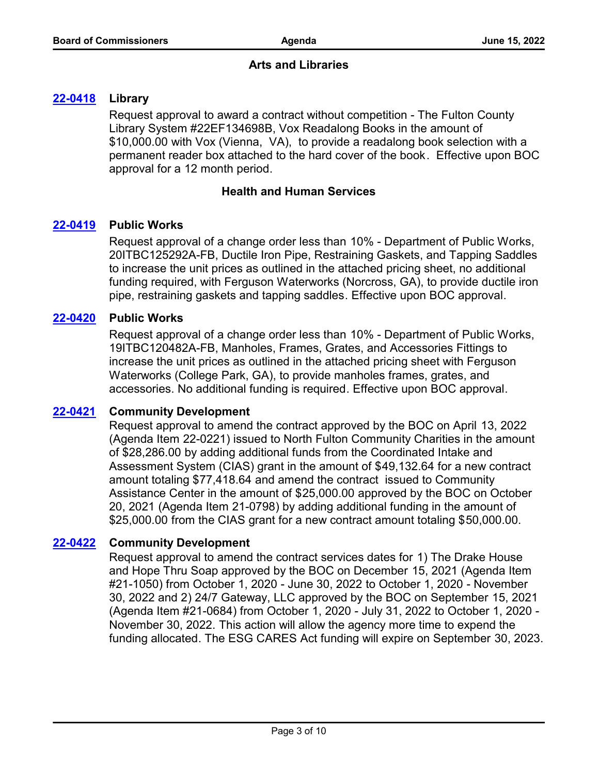### **Arts and Libraries**

### **[22-0418](http://fulton.legistar.com/gateway.aspx?m=l&id=/matter.aspx?key=10804) Library**

Request approval to award a contract without competition - The Fulton County Library System #22EF134698B, Vox Readalong Books in the amount of \$10,000.00 with Vox (Vienna, VA), to provide a readalong book selection with a permanent reader box attached to the hard cover of the book. Effective upon BOC approval for a 12 month period.

### **Health and Human Services**

#### **[22-0419](http://fulton.legistar.com/gateway.aspx?m=l&id=/matter.aspx?key=10764) Public Works**

Request approval of a change order less than 10% - Department of Public Works, 20ITBC125292A-FB, Ductile Iron Pipe, Restraining Gaskets, and Tapping Saddles to increase the unit prices as outlined in the attached pricing sheet, no additional funding required, with Ferguson Waterworks (Norcross, GA), to provide ductile iron pipe, restraining gaskets and tapping saddles. Effective upon BOC approval.

#### **[22-0420](http://fulton.legistar.com/gateway.aspx?m=l&id=/matter.aspx?key=10767) Public Works**

Request approval of a change order less than 10% - Department of Public Works, 19ITBC120482A-FB, Manholes, Frames, Grates, and Accessories Fittings to increase the unit prices as outlined in the attached pricing sheet with Ferguson Waterworks (College Park, GA), to provide manholes frames, grates, and accessories. No additional funding is required. Effective upon BOC approval.

#### **[22-0421](http://fulton.legistar.com/gateway.aspx?m=l&id=/matter.aspx?key=10809) Community Development**

Request approval to amend the contract approved by the BOC on April 13, 2022 (Agenda Item 22-0221) issued to North Fulton Community Charities in the amount of \$28,286.00 by adding additional funds from the Coordinated Intake and Assessment System (CIAS) grant in the amount of \$49,132.64 for a new contract amount totaling \$77,418.64 and amend the contract issued to Community Assistance Center in the amount of \$25,000.00 approved by the BOC on October 20, 2021 (Agenda Item 21-0798) by adding additional funding in the amount of \$25,000.00 from the CIAS grant for a new contract amount totaling \$50,000.00.

#### **[22-0422](http://fulton.legistar.com/gateway.aspx?m=l&id=/matter.aspx?key=10810) Community Development**

Request approval to amend the contract services dates for 1) The Drake House and Hope Thru Soap approved by the BOC on December 15, 2021 (Agenda Item #21-1050) from October 1, 2020 - June 30, 2022 to October 1, 2020 - November 30, 2022 and 2) 24/7 Gateway, LLC approved by the BOC on September 15, 2021 (Agenda Item #21-0684) from October 1, 2020 - July 31, 2022 to October 1, 2020 - November 30, 2022. This action will allow the agency more time to expend the funding allocated. The ESG CARES Act funding will expire on September 30, 2023.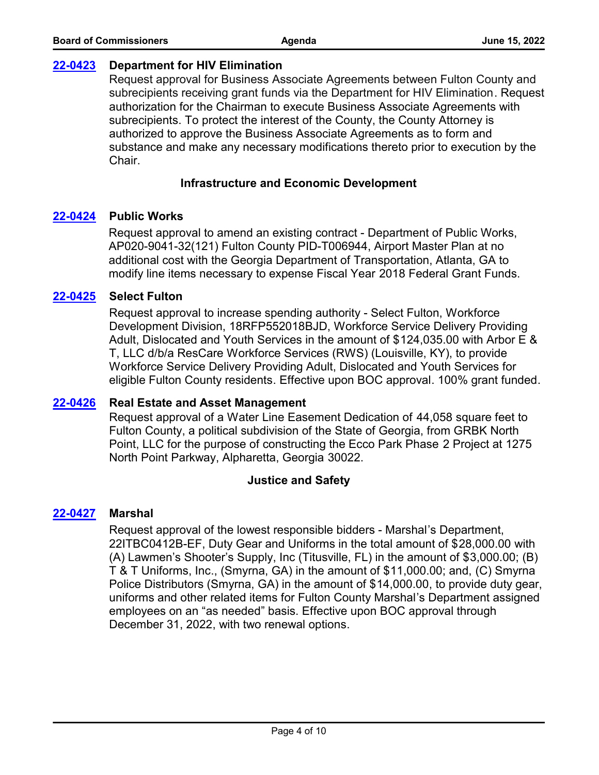#### **[22-0423](http://fulton.legistar.com/gateway.aspx?m=l&id=/matter.aspx?key=10815) Department for HIV Elimination**

Request approval for Business Associate Agreements between Fulton County and subrecipients receiving grant funds via the Department for HIV Elimination. Request authorization for the Chairman to execute Business Associate Agreements with subrecipients. To protect the interest of the County, the County Attorney is authorized to approve the Business Associate Agreements as to form and substance and make any necessary modifications thereto prior to execution by the **Chair** 

#### **Infrastructure and Economic Development**

#### **[22-0424](http://fulton.legistar.com/gateway.aspx?m=l&id=/matter.aspx?key=10832) Public Works**

Request approval to amend an existing contract - Department of Public Works, AP020-9041-32(121) Fulton County PID-T006944, Airport Master Plan at no additional cost with the Georgia Department of Transportation, Atlanta, GA to modify line items necessary to expense Fiscal Year 2018 Federal Grant Funds.

#### **[22-0425](http://fulton.legistar.com/gateway.aspx?m=l&id=/matter.aspx?key=10855) Select Fulton**

Request approval to increase spending authority - Select Fulton, Workforce Development Division, 18RFP552018BJD, Workforce Service Delivery Providing Adult, Dislocated and Youth Services in the amount of \$124,035.00 with Arbor E & T, LLC d/b/a ResCare Workforce Services (RWS) (Louisville, KY), to provide Workforce Service Delivery Providing Adult, Dislocated and Youth Services for eligible Fulton County residents. Effective upon BOC approval. 100% grant funded.

#### **[22-0426](http://fulton.legistar.com/gateway.aspx?m=l&id=/matter.aspx?key=10877) Real Estate and Asset Management**

Request approval of a Water Line Easement Dedication of 44,058 square feet to Fulton County, a political subdivision of the State of Georgia, from GRBK North Point, LLC for the purpose of constructing the Ecco Park Phase 2 Project at 1275 North Point Parkway, Alpharetta, Georgia 30022.

#### **Justice and Safety**

#### **[22-0427](http://fulton.legistar.com/gateway.aspx?m=l&id=/matter.aspx?key=10876) Marshal**

Request approval of the lowest responsible bidders - Marshal's Department, 22ITBC0412B-EF, Duty Gear and Uniforms in the total amount of \$28,000.00 with (A) Lawmen's Shooter's Supply, Inc (Titusville, FL) in the amount of \$3,000.00; (B) T & T Uniforms, Inc., (Smyrna, GA) in the amount of \$11,000.00; and, (C) Smyrna Police Distributors (Smyrna, GA) in the amount of \$14,000.00, to provide duty gear, uniforms and other related items for Fulton County Marshal's Department assigned employees on an "as needed" basis. Effective upon BOC approval through December 31, 2022, with two renewal options.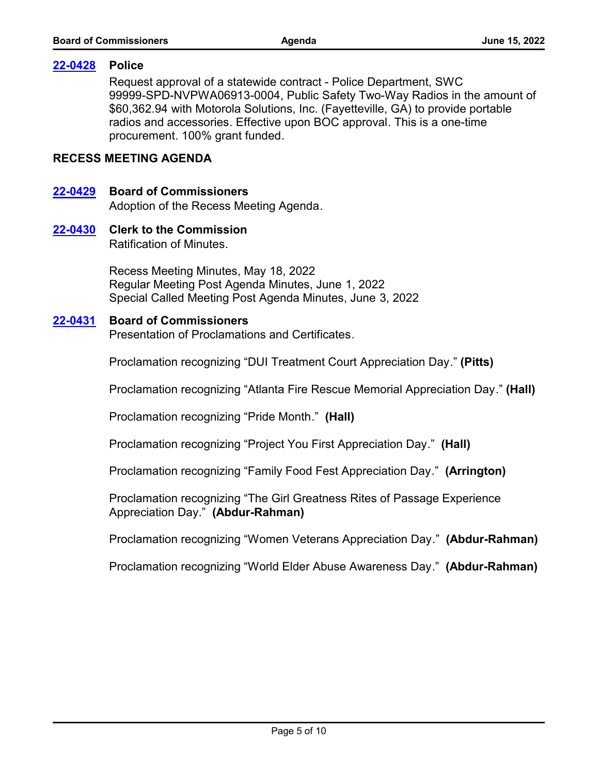#### **[22-0428](http://fulton.legistar.com/gateway.aspx?m=l&id=/matter.aspx?key=10887) Police**

Request approval of a statewide contract - Police Department, SWC 99999-SPD-NVPWA06913-0004, Public Safety Two-Way Radios in the amount of \$60,362.94 with Motorola Solutions, Inc. (Fayetteville, GA) to provide portable radios and accessories. Effective upon BOC approval. This is a one-time procurement. 100% grant funded.

#### **RECESS MEETING AGENDA**

# **[22-0429](http://fulton.legistar.com/gateway.aspx?m=l&id=/matter.aspx?key=10920) Board of Commissioners**

Adoption of the Recess Meeting Agenda.

#### Ratification of Minutes. **[22-0430](http://fulton.legistar.com/gateway.aspx?m=l&id=/matter.aspx?key=10922) Clerk to the Commission**

Recess Meeting Minutes, May 18, 2022 Regular Meeting Post Agenda Minutes, June 1, 2022 Special Called Meeting Post Agenda Minutes, June 3, 2022

#### **[22-0431](http://fulton.legistar.com/gateway.aspx?m=l&id=/matter.aspx?key=10921) Board of Commissioners**

Presentation of Proclamations and Certificates.

Proclamation recognizing "DUI Treatment Court Appreciation Day." **(Pitts)**

Proclamation recognizing "Atlanta Fire Rescue Memorial Appreciation Day." **(Hall)**

Proclamation recognizing "Pride Month." **(Hall)**

Proclamation recognizing "Project You First Appreciation Day." **(Hall)**

Proclamation recognizing "Family Food Fest Appreciation Day." **(Arrington)**

Proclamation recognizing "The Girl Greatness Rites of Passage Experience Appreciation Day." **(Abdur-Rahman)**

Proclamation recognizing "Women Veterans Appreciation Day." **(Abdur-Rahman)**

Proclamation recognizing "World Elder Abuse Awareness Day." **(Abdur-Rahman)**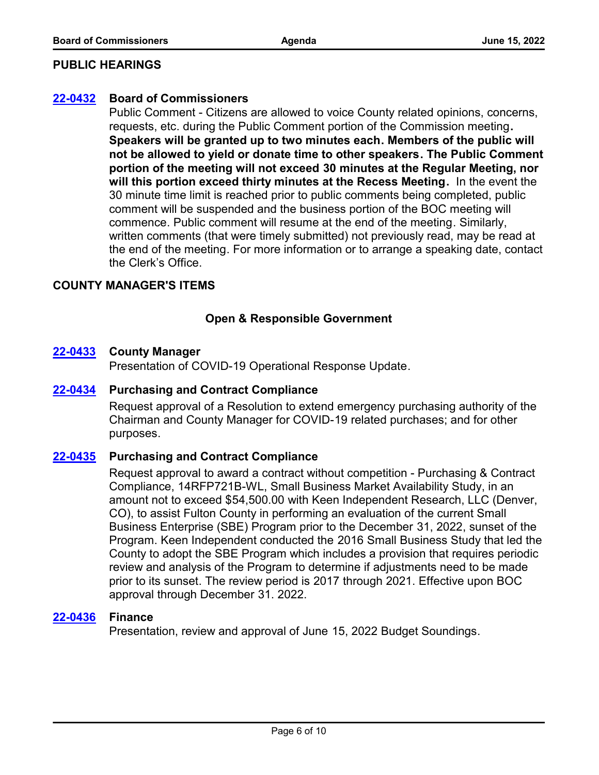#### **PUBLIC HEARINGS**

#### **[22-0432](http://fulton.legistar.com/gateway.aspx?m=l&id=/matter.aspx?key=10923) Board of Commissioners**

Public Comment - Citizens are allowed to voice County related opinions, concerns, requests, etc. during the Public Comment portion of the Commission meeting**. Speakers will be granted up to two minutes each. Members of the public will not be allowed to yield or donate time to other speakers. The Public Comment portion of the meeting will not exceed 30 minutes at the Regular Meeting, nor will this portion exceed thirty minutes at the Recess Meeting.** In the event the 30 minute time limit is reached prior to public comments being completed, public comment will be suspended and the business portion of the BOC meeting will commence. Public comment will resume at the end of the meeting. Similarly, written comments (that were timely submitted) not previously read, may be read at the end of the meeting. For more information or to arrange a speaking date, contact the Clerk's Office.

#### **COUNTY MANAGER'S ITEMS**

# **Open & Responsible Government**

#### **[22-0433](http://fulton.legistar.com/gateway.aspx?m=l&id=/matter.aspx?key=10741) County Manager**

Presentation of COVID-19 Operational Response Update.

#### **[22-0434](http://fulton.legistar.com/gateway.aspx?m=l&id=/matter.aspx?key=10934) Purchasing and Contract Compliance**

Request approval of a Resolution to extend emergency purchasing authority of the Chairman and County Manager for COVID-19 related purchases; and for other purposes.

#### **[22-0435](http://fulton.legistar.com/gateway.aspx?m=l&id=/matter.aspx?key=10928) Purchasing and Contract Compliance**

Request approval to award a contract without competition - Purchasing & Contract Compliance, 14RFP721B-WL, Small Business Market Availability Study, in an amount not to exceed \$54,500.00 with Keen Independent Research, LLC (Denver, CO), to assist Fulton County in performing an evaluation of the current Small Business Enterprise (SBE) Program prior to the December 31, 2022, sunset of the Program. Keen Independent conducted the 2016 Small Business Study that led the County to adopt the SBE Program which includes a provision that requires periodic review and analysis of the Program to determine if adjustments need to be made prior to its sunset. The review period is 2017 through 2021. Effective upon BOC approval through December 31. 2022.

#### **[22-0436](http://fulton.legistar.com/gateway.aspx?m=l&id=/matter.aspx?key=10458) Finance**

Presentation, review and approval of June 15, 2022 Budget Soundings.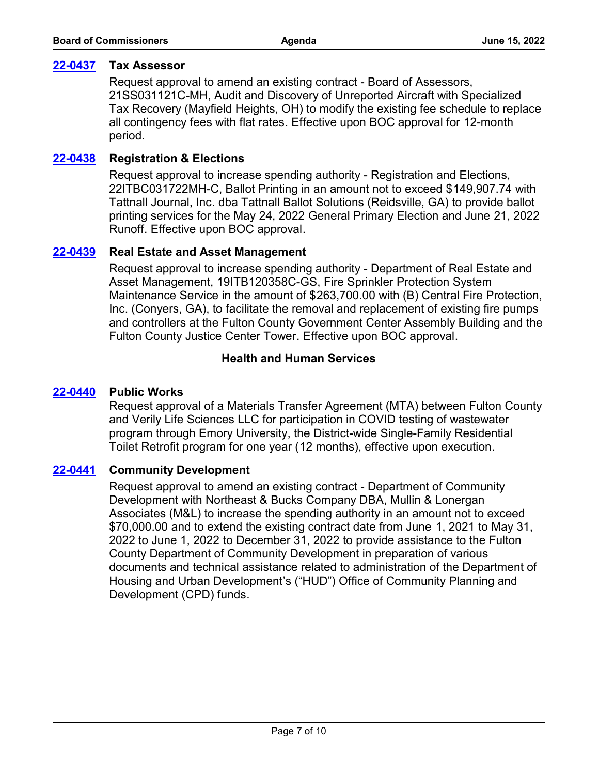#### **[22-0437](http://fulton.legistar.com/gateway.aspx?m=l&id=/matter.aspx?key=10765) Tax Assessor**

Request approval to amend an existing contract - Board of Assessors, 21SS031121C-MH, Audit and Discovery of Unreported Aircraft with Specialized Tax Recovery (Mayfield Heights, OH) to modify the existing fee schedule to replace all contingency fees with flat rates. Effective upon BOC approval for 12-month period.

#### **[22-0438](http://fulton.legistar.com/gateway.aspx?m=l&id=/matter.aspx?key=10822) Registration & Elections**

Request approval to increase spending authority - Registration and Elections, 22ITBC031722MH-C, Ballot Printing in an amount not to exceed \$149,907.74 with Tattnall Journal, Inc. dba Tattnall Ballot Solutions (Reidsville, GA) to provide ballot printing services for the May 24, 2022 General Primary Election and June 21, 2022 Runoff. Effective upon BOC approval.

#### **[22-0439](http://fulton.legistar.com/gateway.aspx?m=l&id=/matter.aspx?key=10906) Real Estate and Asset Management**

Request approval to increase spending authority - Department of Real Estate and Asset Management, 19ITB120358C-GS, Fire Sprinkler Protection System Maintenance Service in the amount of \$263,700.00 with (B) Central Fire Protection, Inc. (Conyers, GA), to facilitate the removal and replacement of existing fire pumps and controllers at the Fulton County Government Center Assembly Building and the Fulton County Justice Center Tower. Effective upon BOC approval.

# **Health and Human Services**

#### **[22-0440](http://fulton.legistar.com/gateway.aspx?m=l&id=/matter.aspx?key=10888) Public Works**

Request approval of a Materials Transfer Agreement (MTA) between Fulton County and Verily Life Sciences LLC for participation in COVID testing of wastewater program through Emory University, the District-wide Single-Family Residential Toilet Retrofit program for one year (12 months), effective upon execution.

#### **[22-0441](http://fulton.legistar.com/gateway.aspx?m=l&id=/matter.aspx?key=10838) Community Development**

Request approval to amend an existing contract - Department of Community Development with Northeast & Bucks Company DBA, Mullin & Lonergan Associates (M&L) to increase the spending authority in an amount not to exceed \$70,000.00 and to extend the existing contract date from June 1, 2021 to May 31, 2022 to June 1, 2022 to December 31, 2022 to provide assistance to the Fulton County Department of Community Development in preparation of various documents and technical assistance related to administration of the Department of Housing and Urban Development's ("HUD") Office of Community Planning and Development (CPD) funds.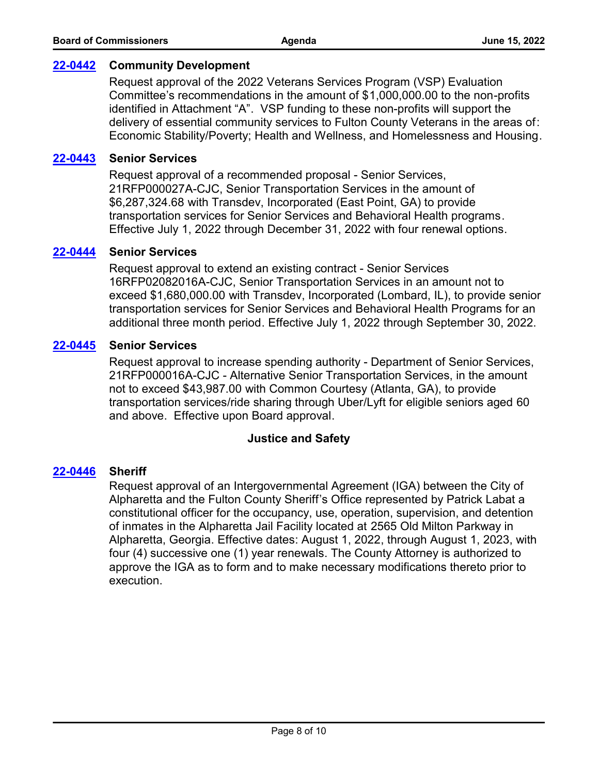#### **[22-0442](http://fulton.legistar.com/gateway.aspx?m=l&id=/matter.aspx?key=10913) Community Development**

Request approval of the 2022 Veterans Services Program (VSP) Evaluation Committee's recommendations in the amount of \$1,000,000.00 to the non-profits identified in Attachment "A". VSP funding to these non-profits will support the delivery of essential community services to Fulton County Veterans in the areas of: Economic Stability/Poverty; Health and Wellness, and Homelessness and Housing.

#### **[22-0443](http://fulton.legistar.com/gateway.aspx?m=l&id=/matter.aspx?key=10851) Senior Services**

Request approval of a recommended proposal - Senior Services, 21RFP000027A-CJC, Senior Transportation Services in the amount of \$6,287,324.68 with Transdev, Incorporated (East Point, GA) to provide transportation services for Senior Services and Behavioral Health programs. Effective July 1, 2022 through December 31, 2022 with four renewal options.

#### **[22-0444](http://fulton.legistar.com/gateway.aspx?m=l&id=/matter.aspx?key=10915) Senior Services**

Request approval to extend an existing contract - Senior Services 16RFP02082016A-CJC, Senior Transportation Services in an amount not to exceed \$1,680,000.00 with Transdev, Incorporated (Lombard, IL), to provide senior transportation services for Senior Services and Behavioral Health Programs for an additional three month period. Effective July 1, 2022 through September 30, 2022.

#### **[22-0445](http://fulton.legistar.com/gateway.aspx?m=l&id=/matter.aspx?key=10904) Senior Services**

Request approval to increase spending authority - Department of Senior Services, 21RFP000016A-CJC - Alternative Senior Transportation Services, in the amount not to exceed \$43,987.00 with Common Courtesy (Atlanta, GA), to provide transportation services/ride sharing through Uber/Lyft for eligible seniors aged 60 and above. Effective upon Board approval.

#### **Justice and Safety**

#### **[22-0446](http://fulton.legistar.com/gateway.aspx?m=l&id=/matter.aspx?key=10940) Sheriff**

Request approval of an Intergovernmental Agreement (IGA) between the City of Alpharetta and the Fulton County Sheriff's Office represented by Patrick Labat a constitutional officer for the occupancy, use, operation, supervision, and detention of inmates in the Alpharetta Jail Facility located at 2565 Old Milton Parkway in Alpharetta, Georgia. Effective dates: August 1, 2022, through August 1, 2023, with four (4) successive one (1) year renewals. The County Attorney is authorized to approve the IGA as to form and to make necessary modifications thereto prior to execution.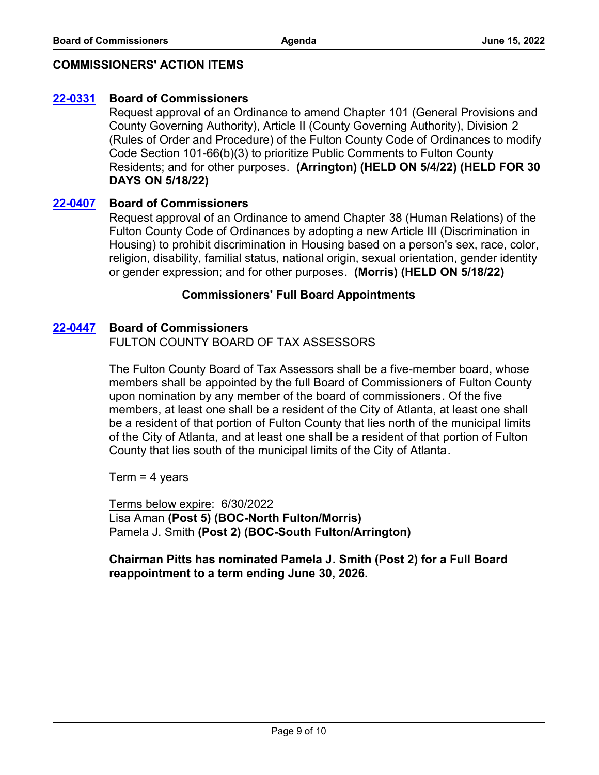# **COMMISSIONERS' ACTION ITEMS**

# **[22-0331](http://fulton.legistar.com/gateway.aspx?m=l&id=/matter.aspx?key=10795) Board of Commissioners**

Request approval of an Ordinance to amend Chapter 101 (General Provisions and County Governing Authority), Article II (County Governing Authority), Division 2 (Rules of Order and Procedure) of the Fulton County Code of Ordinances to modify Code Section 101-66(b)(3) to prioritize Public Comments to Fulton County Residents; and for other purposes. **(Arrington) (HELD ON 5/4/22) (HELD FOR 30 DAYS ON 5/18/22)**

# **[22-0407](http://fulton.legistar.com/gateway.aspx?m=l&id=/matter.aspx?key=10901) Board of Commissioners**

Request approval of an Ordinance to amend Chapter 38 (Human Relations) of the Fulton County Code of Ordinances by adopting a new Article III (Discrimination in Housing) to prohibit discrimination in Housing based on a person's sex, race, color, religion, disability, familial status, national origin, sexual orientation, gender identity or gender expression; and for other purposes. **(Morris) (HELD ON 5/18/22)**

#### **Commissioners' Full Board Appointments**

#### **[22-0447](http://fulton.legistar.com/gateway.aspx?m=l&id=/matter.aspx?key=10927) Board of Commissioners**

FULTON COUNTY BOARD OF TAX ASSESSORS

The Fulton County Board of Tax Assessors shall be a five-member board, whose members shall be appointed by the full Board of Commissioners of Fulton County upon nomination by any member of the board of commissioners. Of the five members, at least one shall be a resident of the City of Atlanta, at least one shall be a resident of that portion of Fulton County that lies north of the municipal limits of the City of Atlanta, and at least one shall be a resident of that portion of Fulton County that lies south of the municipal limits of the City of Atlanta.

Term = 4 years

Terms below expire: 6/30/2022 Lisa Aman **(Post 5) (BOC-North Fulton/Morris)**  Pamela J. Smith **(Post 2) (BOC-South Fulton/Arrington)**

**Chairman Pitts has nominated Pamela J. Smith (Post 2) for a Full Board reappointment to a term ending June 30, 2026.**